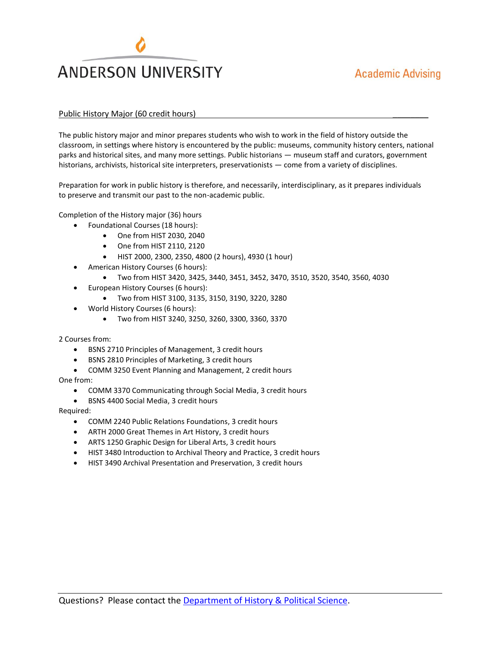

## Public History Major (60 credit hours) \_\_\_\_\_\_\_\_

The public history major and minor prepares students who wish to work in the field of history outside the classroom, in settings where history is encountered by the public: museums, community history centers, national parks and historical sites, and many more settings. Public historians — museum staff and curators, government historians, archivists, historical site interpreters, preservationists — come from a variety of disciplines.

Preparation for work in public history is therefore, and necessarily, interdisciplinary, as it prepares individuals to preserve and transmit our past to the non-academic public.

Completion of the History major (36) hours

- Foundational Courses (18 hours):
	- One from HIST 2030, 2040
	- One from HIST 2110, 2120
	- HIST 2000, 2300, 2350, 4800 (2 hours), 4930 (1 hour)
- American History Courses (6 hours):
	- Two from HIST 3420, 3425, 3440, 3451, 3452, 3470, 3510, 3520, 3540, 3560, 4030
- European History Courses (6 hours):
	- Two from HIST 3100, 3135, 3150, 3190, 3220, 3280
- World History Courses (6 hours):
	- Two from HIST 3240, 3250, 3260, 3300, 3360, 3370

2 Courses from:

- BSNS 2710 Principles of Management, 3 credit hours
- BSNS 2810 Principles of Marketing, 3 credit hours
- COMM 3250 Event Planning and Management, 2 credit hours

One from:

- COMM 3370 Communicating through Social Media, 3 credit hours
- BSNS 4400 Social Media, 3 credit hours

Required:

- COMM 2240 Public Relations Foundations, 3 credit hours
- ARTH 2000 Great Themes in Art History, 3 credit hours
- ARTS 1250 Graphic Design for Liberal Arts, 3 credit hours
- HIST 3480 Introduction to Archival Theory and Practice, 3 credit hours
- HIST 3490 Archival Presentation and Preservation, 3 credit hours